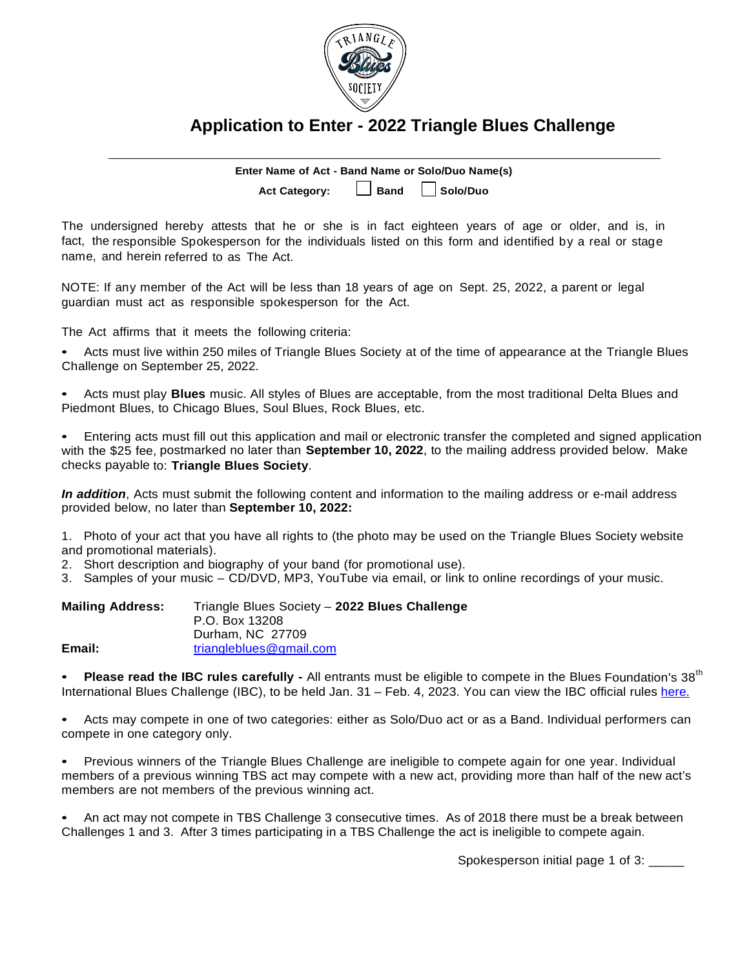

## **Application to Enter - 2022 Triangle Blues Challenge**

**Enter Name of Act - Band Name or Solo/Duo Name(s) Act Category: Band Solo/Duo**

The undersigned hereby attests that he or she is in fact eighteen years of age or older, and is, in fact, the responsible Spokesperson for the individuals listed on this form and identified by a real or stage name, and herein referred to as The Act.

NOTE: If any member of the Act will be less than 18 years of age on Sept. 25, 2022, a parent or legal guardian must act as responsible spokesperson for the Act.

The Act affirms that it meets the following criteria:

• Acts must live within 250 miles of Triangle Blues Society at of the time of appearance at the Triangle Blues Challenge on September 25, 2022.

• Acts must play **Blues** music. All styles of Blues are acceptable, from the most traditional Delta Blues and Piedmont Blues, to Chicago Blues, Soul Blues, Rock Blues, etc.

• Entering acts must fill out this application and mail or electronic transfer the completed and signed application with the \$25 fee, postmarked no later than **September 10, 2022**, to the mailing address provided below. Make checks payable to: **Triangle Blues Society**.

*In addition*, Acts must submit the following content and information to the mailing address or e-mail address provided below, no later than **September 10, 2022:**

1. Photo of your act that you have all rights to (the photo may be used on the Triangle Blues Society website and promotional materials).

2. Short description and biography of your band (for promotional use).

3. Samples of your music – CD/DVD, MP3, YouTube via email, or link to online recordings of your music.

| <b>Mailing Address:</b> | Triangle Blues Society - 2022 Blues Challenge<br>P.O. Box 13208 |
|-------------------------|-----------------------------------------------------------------|
|                         | Durham, NC 27709                                                |
| Email:                  | triangleblues@gmail.com                                         |

**Please read the IBC rules carefully -** All entrants must be eligible to compete in the Blues Foundation's 38<sup>th</sup> International Blues Challenge (IBC), to be held Jan. 31 – Feb. 4, 2023. You can view the IBC official rules [here.](https://blues.org/official-ibc-rules/)

• Acts may compete in one of two categories: either as Solo/Duo act or as a Band. Individual performers can compete in one category only.

• Previous winners of the Triangle Blues Challenge are ineligible to compete again for one year. Individual members of a previous winning TBS act may compete with a new act, providing more than half of the new act's members are not members of the previous winning act.

• An act may not compete in TBS Challenge 3 consecutive times. As of 2018 there must be a break between Challenges 1 and 3. After 3 times participating in a TBS Challenge the act is ineligible to compete again.

Spokesperson initial page 1 of 3: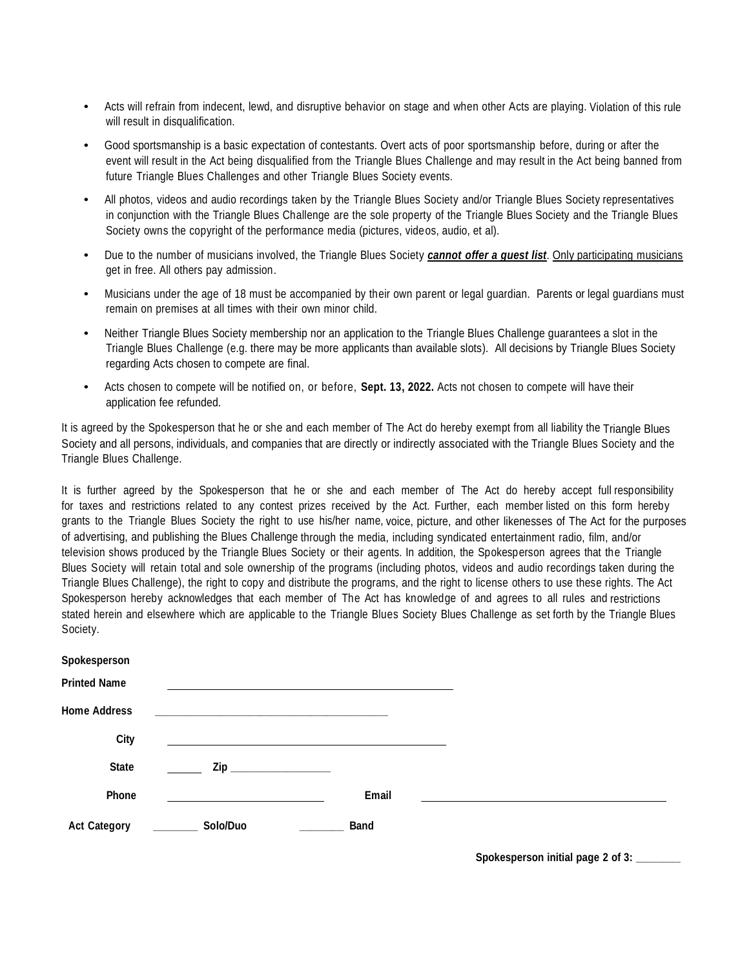- Acts will refrain from indecent, lewd, and disruptive behavior on stage and when other Acts are playing. Violation of this rule will result in disqualification.
- Good sportsmanship is a basic expectation of contestants. Overt acts of poor sportsmanship before, during or after the event will result in the Act being disqualified from the Triangle Blues Challenge and may result in the Act being banned from future Triangle Blues Challenges and other Triangle Blues Society events.
- All photos, videos and audio recordings taken by the Triangle Blues Society and/or Triangle Blues Society representatives in conjunction with the Triangle Blues Challenge are the sole property of the Triangle Blues Society and the Triangle Blues Society owns the copyright of the performance media (pictures, videos, audio, et al).
- Due to the number of musicians involved, the Triangle Blues Society *cannot offer a guest list*. Only participating musicians get in free. All others pay admission.
- Musicians under the age of 18 must be accompanied by their own parent or legal guardian. Parents or legal guardians must remain on premises at all times with their own minor child.
- Neither Triangle Blues Society membership nor an application to the Triangle Blues Challenge guarantees a slot in the Triangle Blues Challenge (e.g. there may be more applicants than available slots). All decisions by Triangle Blues Society regarding Acts chosen to compete are final.
- Acts chosen to compete will be notified on, or before, **Sept. 13, 2022.** Acts not chosen to compete will have their application fee refunded.

It is agreed by the Spokesperson that he or she and each member of The Act do hereby exempt from all liability the Triangle Blues Society and all persons, individuals, and companies that are directly or indirectly associated with the Triangle Blues Society and the Triangle Blues Challenge.

It is further agreed by the Spokesperson that he or she and each member of The Act do hereby accept full responsibility for taxes and restrictions related to any contest prizes received by the Act. Further, each member listed on this form hereby grants to the Triangle Blues Society the right to use his/her name, voice, picture, and other likenesses of The Act for the purposes of advertising, and publishing the Blues Challenge through the media, including syndicated entertainment radio, film, and/or television shows produced by the Triangle Blues Society or their agents. In addition, the Spokesperson agrees that the Triangle Blues Society will retain total and sole ownership of the programs (including photos, videos and audio recordings taken during the Triangle Blues Challenge), the right to copy and distribute the programs, and the right to license others to use these rights. The Act Spokesperson hereby acknowledges that each member of The Act has knowledge of and agrees to all rules and restrictions stated herein and elsewhere which are applicable to the Triangle Blues Society Blues Challenge as set forth by the Triangle Blues Society.

| Spokesperson        |                         |       |  |
|---------------------|-------------------------|-------|--|
| <b>Printed Name</b> |                         |       |  |
| <b>Home Address</b> |                         |       |  |
| City                |                         |       |  |
| State               | Zip ___________________ |       |  |
| Phone               |                         | Email |  |
| <b>Act Category</b> | Solo/Duo                | Band  |  |

**Spokesperson initial page 2 of 3: \_\_\_\_\_\_\_\_**